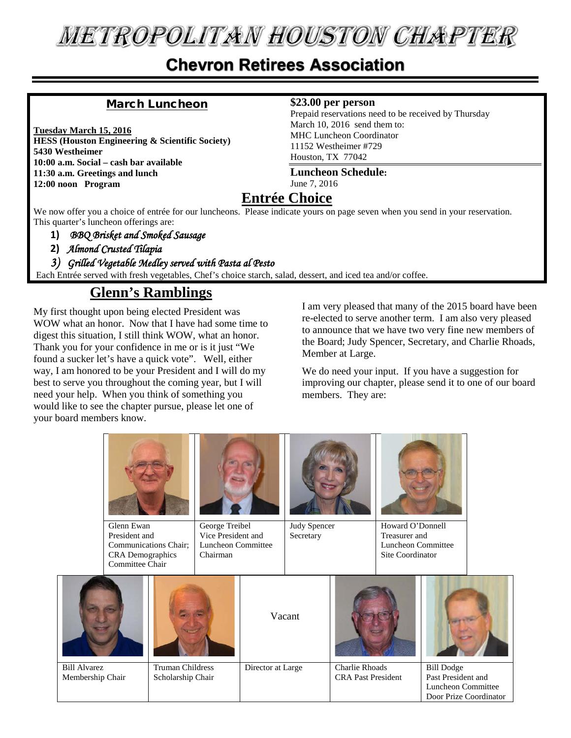## **METROPOLITAN HOUSTON CHAPTER**

#### **Chevron Retirees Association**

#### March Luncheon

**Tuesday March 15, 2016 HESS (Houston Engineering & Scientific Society) 5430 Westheimer 10:00 a.m. Social – cash bar available 11:30 a.m. Greetings and lunch 12:00 noon Program**

#### **\$23.00 per person**

Prepaid reservations need to be received by Thursday March 10, 2016 send them to: MHC Luncheon Coordinator 11152 Westheimer #729 Houston, TX 77042

**Luncheon Schedule:** June 7, 2016

#### **Entrée Choice**

We now offer you a choice of entrée for our luncheons. Please indicate yours on page seven when you send in your reservation. This quarter's luncheon offerings are:

- **1)** *BBQ Brisket and Smoked Sausage*
- **2)** *Almond Crusted Tilapia*

*3) Grilled Vegetable Medley served with Pasta al Pesto* 

Each Entrée served with fresh vegetables, Chef's choice starch, salad, dessert, and iced tea and/or coffee.

#### **Glenn's Ramblings**

My first thought upon being elected President was WOW what an honor. Now that I have had some time to digest this situation, I still think WOW, what an honor. Thank you for your confidence in me or is it just "We found a sucker let's have a quick vote". Well, either way, I am honored to be your President and I will do my best to serve you throughout the coming year, but I will need your help. When you think of something you would like to see the chapter pursue, please let one of your board members know.

I am very pleased that many of the 2015 board have been re-elected to serve another term. I am also very pleased to announce that we have two very fine new members of the Board; Judy Spencer, Secretary, and Charlie Rhoads, Member at Large.

We do need your input. If you have a suggestion for improving our chapter, please send it to one of our board members. They are:

|                                         | Glenn Ewan<br>President and<br>Communications Chair;<br><b>CRA</b> Demographics<br>Committee Chair |                                              | George Treibel<br>Vice President and<br>Luncheon Committee<br>Chairman |                   | Judy Spencer<br>Secretary |                                                    | Howard O'Donnell<br>Treasurer and<br>Luncheon Committee<br>Site Coordinator |                                                                                         |  |
|-----------------------------------------|----------------------------------------------------------------------------------------------------|----------------------------------------------|------------------------------------------------------------------------|-------------------|---------------------------|----------------------------------------------------|-----------------------------------------------------------------------------|-----------------------------------------------------------------------------------------|--|
|                                         |                                                                                                    |                                              |                                                                        |                   | Vacant                    |                                                    |                                                                             |                                                                                         |  |
| <b>Bill Alvarez</b><br>Membership Chair |                                                                                                    | <b>Truman Childress</b><br>Scholarship Chair |                                                                        | Director at Large |                           | <b>Charlie Rhoads</b><br><b>CRA Past President</b> |                                                                             | <b>Bill Dodge</b><br>Past President and<br>Luncheon Committee<br>Door Prize Coordinator |  |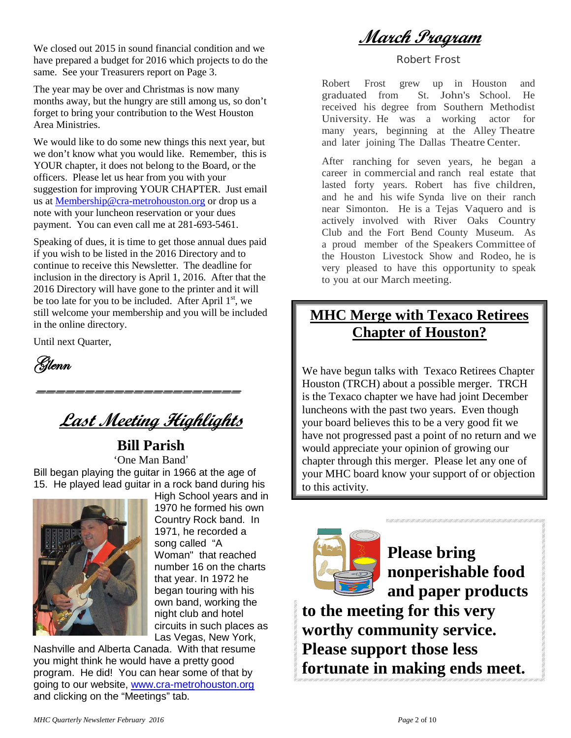We closed out 2015 in sound financial condition and we have prepared a budget for 2016 which projects to do the same. See your Treasurers report on Page 3.

The year may be over and Christmas is now many months away, but the hungry are still among us, so don't forget to bring your contribution to the West Houston Area Ministries.

We would like to do some new things this next year, but we don't know what you would like. Remember, this is YOUR chapter, it does not belong to the Board, or the officers. Please let us hear from you with your suggestion for improving YOUR CHAPTER. Just email us at [Membership@cra-metrohouston.org](mailto:Membership@cra-metrohouston.org) or drop us a note with your luncheon reservation or your dues payment. You can even call me at 281-693-5461.

Speaking of dues, it is time to get those annual dues paid if you wish to be listed in the 2016 Directory and to continue to receive this Newsletter. The deadline for inclusion in the directory is April 1, 2016. After that the 2016 Directory will have gone to the printer and it will be too late for you to be included. After April  $1<sup>st</sup>$ , we still welcome your membership and you will be included in the online directory.

Until next Quarter,

(Stlenn

## **Last Meeting Highlights**

=====================

**Bill Parish** 'One Man Band' Bill began playing the guitar in 1966 at the age of 15. He played lead guitar in a rock band during his



High School years and in 1970 he formed his own Country Rock band. In 1971, he recorded a song called "A Woman" that reached number 16 on the charts that year. In 1972 he began touring with his own band, working the night club and hotel circuits in such places as Las Vegas, New York,

Nashville and Alberta Canada. With that resume you might think he would have a pretty good program. He did! You can hear some of that by going to our website, [www.cra-metrohouston.org](http://www.cra-metrohouston.org/) and clicking on the "Meetings" tab.

**March Program**

Robert Frost

Robert Frost grew up in Houston and graduated from St. John's School. He received his degree from Southern Methodist University. He was a working actor for many years, beginning at the Alley Theatre and later joining The Dallas Theatre Center.

After ranching for seven years, he began a career in commercial and ranch real estate that lasted forty years. Robert has five children, and he and his wife Synda live on their ranch near Simonton. He is a Tejas Vaquero and is actively involved with River Oaks Country Club and the Fort Bend County Museum. As a proud member of the Speakers Committee of the Houston Livestock Show and Rodeo, he is very pleased to have this opportunity to speak to you at our March meeting.

#### **MHC Merge with Texaco Retirees Chapter of Houston?**

We have begun talks with Texaco Retirees Chapter Houston (TRCH) about a possible merger. TRCH is the Texaco chapter we have had joint December luncheons with the past two years. Even though your board believes this to be a very good fit we have not progressed past a point of no return and we would appreciate your opinion of growing our chapter through this merger. Please let any one of your MHC board know your support of or objection to this activity.



**Please bring nonperishable food and paper products** 

**to the meeting for this very worthy community service. Please support those less fortunate in making ends meet.**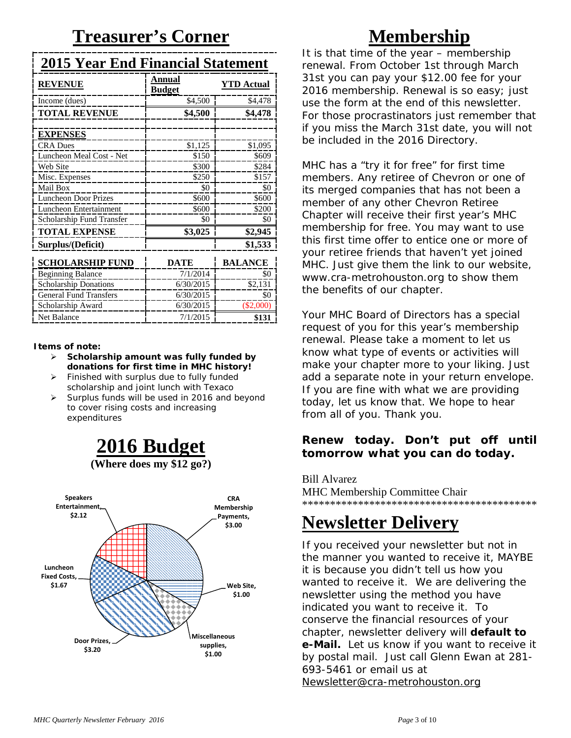## **Treasurer's Corner**

|--|

| <b>REVENUE</b>                | Annual<br><b>Budget</b> | <b>YTD Actual</b> |
|-------------------------------|-------------------------|-------------------|
| Income (dues)                 | \$4,500                 | \$4,478           |
| <b>TOTAL REVENUE</b>          | \$4,500                 | \$4,478           |
|                               |                         |                   |
| <b>EXPENSES</b>               |                         |                   |
| <b>CRA</b> Dues               | \$1,125                 | \$1,095           |
| Luncheon Meal Cost - Net      | \$150                   | \$609             |
| Web Site                      | \$300                   | \$284             |
| Misc. Expenses                | \$250                   | \$157             |
| Mail Box                      | \$0                     | \$0               |
| <b>Luncheon Door Prizes</b>   | \$600                   | \$600             |
| Luncheon Entertainment        | \$600                   | \$200             |
| Scholarship Fund Transfer     | \$0                     | \$0               |
| <b>TOTAL EXPENSE</b>          | \$3,025                 | \$2,945           |
| Surplus/(Deficit)             |                         | \$1,533           |
| <b>SCHOLARSHIP FUND</b>       | DATE                    | <b>BALANCE</b>    |
| <b>Beginning Balance</b>      | 7/1/2014                | \$0               |
| <b>Scholarship Donations</b>  | 6/30/2015               | \$2,131           |
| <b>General Fund Transfers</b> | 6/30/2015               | \$0               |
| Scholarship Award             | 6/30/2015               | $(\$2,000)$       |

#### **Items of note:**

 **Scholarship amount was fully funded by donations for first time in MHC history!**

Net Balance **1** 7/1/2015 **\$131** 

- $\triangleright$  Finished with surplus due to fully funded scholarship and joint lunch with Texaco
- $\triangleright$  Surplus funds will be used in 2016 and beyond to cover rising costs and increasing expenditures





### **Membership**

It is that time of the year – membership renewal. From October 1st through March 31st you can pay your \$12.00 fee for your 2016 membership. Renewal is so easy; just use the form at the end of this newsletter. For those procrastinators just remember that if you miss the March 31st date, you will not be included in the 2016 Directory.

MHC has a "try it for free" for first time members. Any retiree of Chevron or one of its merged companies that has not been a member of any other Chevron Retiree Chapter will receive their first year's MHC membership for free. You may want to use this first time offer to entice one or more of your retiree friends that haven't yet joined MHC. Just give them the link to our website, [www.cra-metrohouston.org](http://www.cra-metrohouston.org/) to show them the benefits of our chapter.

Your MHC Board of Directors has a special request of you for this year's membership renewal. Please take a moment to let us know what type of events or activities will make your chapter more to your liking. Just add a separate note in your return envelope. If you are fine with what we are providing today, let us know that. We hope to hear from all of you. Thank you.

#### **Renew today. Don't put off until tomorrow what you can do today.**

Bill Alvarez MHC Membership Committee Chair \*\*\*\*\*\*\*\*\*\*\*\*\*\*\*\*\*\*\*\*\*\*\*\*\*\*\*\*\*\*\*\*\*\*\*\*\*\*\*\*\*\*

## **Newsletter Delivery**

If you received your newsletter but not in the manner you wanted to receive it, MAYBE it is because you didn't tell us how you wanted to receive it. We are delivering the newsletter using the method you have indicated you want to receive it. To conserve the financial resources of your chapter, newsletter delivery will **default to e-Mail.** Let us know if you want to receive it by postal mail. Just call Glenn Ewan at 281- 693-5461 or email us at [Newsletter@cra-metrohouston.org](mailto:Newsletter@cra-metrohouston.org)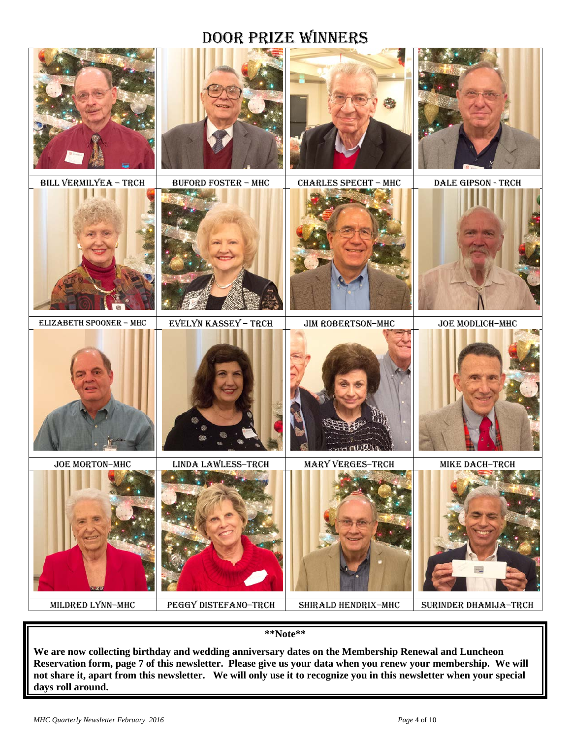#### Door Prize Winners



**\*\*Note\*\***

**We are now collecting birthday and wedding anniversary dates on the Membership Renewal and Luncheon Reservation form, page 7 of this newsletter. Please give us your data when you renew your membership. We will not share it, apart from this newsletter. We will only use it to recognize you in this newsletter when your special days roll around.**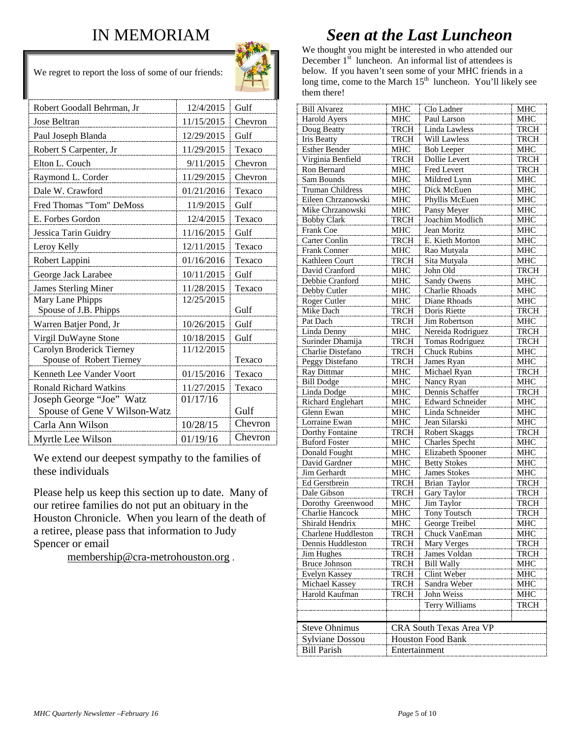#### IN MEMORIAM



We regret to report the loss of some of our friends:

| Robert Goodall Behrman, Jr    | 12/4/2015  | Gulf    |
|-------------------------------|------------|---------|
| Jose Beltran                  | 11/15/2015 | Chevron |
| Paul Joseph Blanda            | 12/29/2015 | Gulf    |
| Robert S Carpenter, Jr        | 11/29/2015 | Texaco  |
| Elton L. Couch                | 9/11/2015  | Chevron |
| Raymond L. Corder             | 11/29/2015 | Chevron |
| Dale W. Crawford              | 01/21/2016 | Texaco  |
| Fred Thomas "Tom" DeMoss      | 11/9/2015  | Gulf    |
| E. Forbes Gordon              | 12/4/2015  | Texaco  |
| Jessica Tarin Guidry          | 11/16/2015 | Gulf    |
| Leroy Kelly                   | 12/11/2015 | Texaco  |
| Robert Lappini                | 01/16/2016 | Texaco  |
| George Jack Larabee           | 10/11/2015 | Gulf    |
| <b>James Sterling Miner</b>   | 11/28/2015 | Texaco  |
| Mary Lane Phipps              | 12/25/2015 |         |
| Spouse of J.B. Phipps         |            | Gulf    |
| Warren Batjer Pond, Jr        | 10/26/2015 | Gulf    |
| Virgil DuWayne Stone          | 10/18/2015 | Gulf    |
| Carolyn Broderick Tierney     | 11/12/2015 |         |
| Spouse of Robert Tierney      |            | Texaco  |
| Kenneth Lee Vander Voort      | 01/15/2016 | Texaco  |
| <b>Ronald Richard Watkins</b> | 11/27/2015 | Texaco  |
| Joseph George "Joe" Watz      | 01/17/16   |         |
| Spouse of Gene V Wilson-Watz  |            | Gulf    |
| Carla Ann Wilson              | 10/28/15   | Chevron |
| Myrtle Lee Wilson             | 01/19/16   | Chevron |

We extend our deepest sympathy to the families of these individuals

Please help us keep this section up to date. Many of our retiree families do not put an obituary in the Houston Chronicle. When you learn of the death of a retiree, please pass that information to Judy Spencer or email

[membership@cra-metrohouston.org](mailto:membership@cra-metrohouston.org) .

#### *Seen at the Last Luncheon*

We thought you might be interested in who attended our December  $1<sup>st</sup>$  luncheon. An informal list of attendees is below. If you haven't seen some of your MHC friends in a long time, come to the March  $15<sup>th</sup>$  luncheon. You'll likely see them there!

| <b>Bill Alvarez</b>     | MHC           | Clo Ladner               | MHC         |  |
|-------------------------|---------------|--------------------------|-------------|--|
| <b>Harold Ayers</b>     | <b>MHC</b>    | Paul Larson              | <b>MHC</b>  |  |
| Doug Beatty             | <b>TRCH</b>   | Linda Lawless            | <b>TRCH</b> |  |
| <b>Iris Beatty</b>      | <b>TRCH</b>   | Will Lawless             | <b>TRCH</b> |  |
| <b>Esther Bender</b>    | <b>MHC</b>    | <b>Bob Leeper</b>        | <b>MHC</b>  |  |
| Virginia Benfield       | TRCH          | <b>Dollie Levert</b>     | <b>TRCH</b> |  |
| Ron Bernard             | <b>MHC</b>    | Fred Levert              | <b>TRCH</b> |  |
| Sam Bounds              | <b>MHC</b>    | Mildred Lynn             | <b>MHC</b>  |  |
| <b>Truman Childress</b> | <b>MHC</b>    | Dick McEuen              | <b>MHC</b>  |  |
| Eileen Chrzanowski      | MHC           | Phyllis McEuen           | <b>MHC</b>  |  |
| Mike Chrzanowski        | MHC           | Pansy Meyer              | <b>MHC</b>  |  |
| <b>Bobby Clark</b>      | <b>TRCH</b>   | Joachim Modlich          | <b>MHC</b>  |  |
| Frank Coe               | <b>MHC</b>    | Jean Moritz              | <b>MHC</b>  |  |
| Carter Conlin           | <b>TRCH</b>   | E. Kieth Morton          | MHC         |  |
| Frank Conner            | <b>MHC</b>    | Rao Mutyala              | <b>MHC</b>  |  |
| Kathleen Court          | TRCH          | Sita Mutyala             | <b>MHC</b>  |  |
| David Cranford          | <b>MHC</b>    | John Old                 | <b>TRCH</b> |  |
| Debbie Cranford         | <b>MHC</b>    | Sandy Owens              | <b>MHC</b>  |  |
| Debby Cutler            | MHC           | Charlie Rhoads           | MHC         |  |
| Roger Cutler            | MHC           | Diane Rhoads             | <b>MHC</b>  |  |
| Mike Dach               | <b>TRCH</b>   | Doris Riette             | <b>TRCH</b> |  |
| Pat Dach                | <b>TRCH</b>   | Jim Robertson            | <b>MHC</b>  |  |
| Linda Denny             | <b>MHC</b>    | Nereida Rodriguez        | <b>TRCH</b> |  |
| Surinder Dhamija        | <b>TRCH</b>   | <b>Tomas Rodriguez</b>   | <b>TRCH</b> |  |
| Charlie Distefano       | <b>TRCH</b>   | Chuck Rubins             | <b>MHC</b>  |  |
| Peggy Distefano         | <b>TRCH</b>   | James Ryan               | MHC         |  |
| Ray Dittmar             | MHC           | Michael Ryan             | <b>TRCH</b> |  |
| <b>Bill Dodge</b>       | <b>MHC</b>    | Nancy Ryan               | <b>MHC</b>  |  |
| Linda Dodge             | <b>MHC</b>    | Dennis Schaffer          | <b>TRCH</b> |  |
| Richard Englehart       | <b>MHC</b>    | <b>Edward Schneider</b>  | <b>MHC</b>  |  |
| Glenn Ewan              | <b>MHC</b>    | Linda Schneider          | <b>MHC</b>  |  |
| Lorraine Ewan           | MHC           | Jean Silarski            | MHC         |  |
| Dorthy Fontaine         | TRCH          | <b>Robert Skaggs</b>     | <b>TRCH</b> |  |
| <b>Buford Foster</b>    | <b>MHC</b>    | Charles Specht           | <b>MHC</b>  |  |
| Donald Fought           | <b>MHC</b>    | Elizabeth Spooner        | <b>MHC</b>  |  |
| David Gardner           | MHC           | <b>Betty Stokes</b>      | <b>MHC</b>  |  |
| Jim Gerhardt            | <b>MHC</b>    | James Stokes             | <b>MHC</b>  |  |
| Ed Gerstbrein           | <b>TRCH</b>   | Brian Taylor             | <b>TRCH</b> |  |
| Dale Gibson             | <b>TRCH</b>   | Gary Taylor              | <b>TRCH</b> |  |
| Dorothy Greenwood       | <b>MHC</b>    | Jim Taylor               | <b>TRCH</b> |  |
| Charlie Hancock         | MHC           | <b>Tony Toutsch</b>      | <b>TRCH</b> |  |
| Shirald Hendrix         | MHC           | George Treibel           | МНС         |  |
| Charlene Huddleston     | TRCH          | Chuck VanEman            | MHC         |  |
| Dennis Huddleston       | TRCH          | Mary Verges              | <b>TRCH</b> |  |
| Jim Hughes              | <b>TRCH</b>   | James Voldan             | <b>TRCH</b> |  |
| <b>Bruce Johnson</b>    | <b>TRCH</b>   | <b>Bill Wally</b>        | MHC         |  |
| Evelyn Kassey           | TRCH          | Clint Weber              | MHC         |  |
| Michael Kassey          | <b>TRCH</b>   | Sandra Weber             | MHC         |  |
| Harold Kaufman          | TRCH          | John Weiss               | MHC         |  |
|                         |               | Terry Williams           | <b>TRCH</b> |  |
|                         |               |                          |             |  |
| <b>Steve Ohnimus</b>    |               | CRA South Texas Area VP  |             |  |
| Sylviane Dossou         |               | <b>Houston Food Bank</b> |             |  |
| <b>Bill Parish</b>      |               |                          |             |  |
|                         | Entertainment |                          |             |  |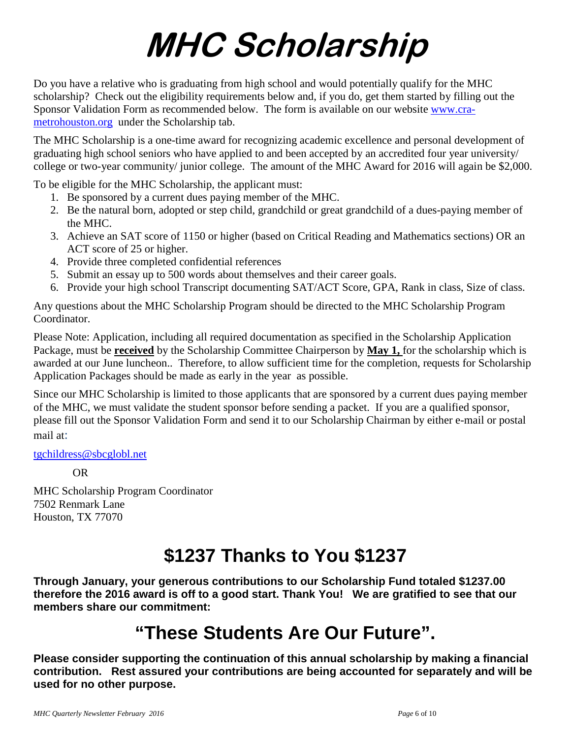# **MHC Scholarship**

Do you have a relative who is graduating from high school and would potentially qualify for the MHC scholarship? Check out the eligibility requirements below and, if you do, get them started by filling out the Sponsor Validation Form as recommended below. The form is available on our website [www.cra](http://www.cra-metrohouston.org/)[metrohouston.org](http://www.cra-metrohouston.org/) under the Scholarship tab.

The MHC Scholarship is a one-time award for recognizing academic excellence and personal development of graduating high school seniors who have applied to and been accepted by an accredited four year university/ college or two-year community/ junior college. The amount of the MHC Award for 2016 will again be \$2,000.

To be eligible for the MHC Scholarship, the applicant must:

- 1. Be sponsored by a current dues paying member of the MHC.
- 2. Be the natural born, adopted or step child, grandchild or great grandchild of a dues-paying member of the MHC.
- 3. Achieve an SAT score of 1150 or higher (based on Critical Reading and Mathematics sections) OR an ACT score of 25 or higher.
- 4. Provide three completed confidential references
- 5. Submit an essay up to 500 words about themselves and their career goals.
- 6. Provide your high school Transcript documenting SAT/ACT Score, GPA, Rank in class, Size of class.

Any questions about the MHC Scholarship Program should be directed to the MHC Scholarship Program Coordinator.

Please Note: Application, including all required documentation as specified in the Scholarship Application Package, must be **received** by the Scholarship Committee Chairperson by **May 1,** for the scholarship which is awarded at our June luncheon.. Therefore, to allow sufficient time for the completion, requests for Scholarship Application Packages should be made as early in the year as possible.

Since our MHC Scholarship is limited to those applicants that are sponsored by a current dues paying member of the MHC, we must validate the student sponsor before sending a packet. If you are a qualified sponsor, please fill out the Sponsor Validation Form and send it to our Scholarship Chairman by either e-mail or postal mail at:

[tgchildress@sbcglobl.net](mailto:tgchildress@sbcglobl.net)

OR

MHC Scholarship Program Coordinator 7502 Renmark Lane Houston, TX 77070

## **\$1237 Thanks to You \$1237**

**Through January, your generous contributions to our Scholarship Fund totaled \$1237.00 therefore the 2016 award is off to a good start. Thank You! We are gratified to see that our members share our commitment:**

## **"These Students Are Our Future".**

**Please consider supporting the continuation of this annual scholarship by making a financial contribution. Rest assured your contributions are being accounted for separately and will be used for no other purpose.**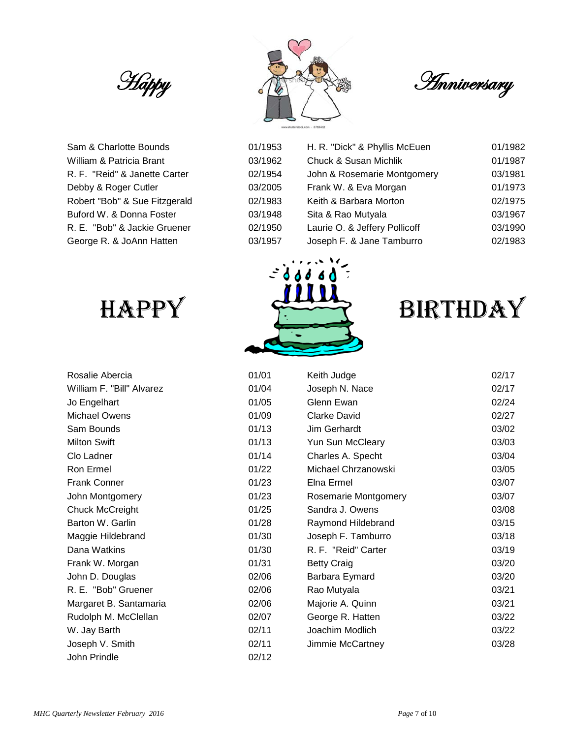

Sam & Charlotte Bounds 61/1953 H. R. 2019 William & Patricia Brant **1978** Company Milliam & Susan Michael Of R. F. "Reid" & Janette Carter 02 Debby & Roger Cutler **D.** 03 Robert "Bob" & Sue Fitzgerald 02 Buford W. & Donna Foster 63/1978 COMUNIST R. E. "Bob" & Jackie Gruener 02 George R. & JoAnn Hatten **63/1978** O3



| 1/1953 | H. R. "Dick" & Phyllis McEuen    | 01/1982 |
|--------|----------------------------------|---------|
| 3/1962 | <b>Chuck &amp; Susan Michlik</b> | 01/1987 |
| 2/1954 | John & Rosemarie Montgomery      | 03/1981 |
| 3/2005 | Frank W. & Eva Morgan            | 01/1973 |
| 2/1983 | Keith & Barbara Morton           | 02/1975 |
| 3/1948 | Sita & Rao Mutyala               | 03/1967 |
| 2/1950 | Laurie O. & Jeffery Pollicoff    | 03/1990 |
| 3/1957 | Joseph F. & Jane Tamburro        | 02/1983 |

| RUSAILE ADEICIA           |
|---------------------------|
| William F. "Bill" Alvarez |
| Jo Engelhart              |
| Michael Owens             |
| Sam Bounds                |
| <b>Milton Swift</b>       |
| Clo Ladner                |
| Ron Ermel                 |
| <b>Frank Conner</b>       |
| John Montgomery           |
| <b>Chuck McCreight</b>    |
| Barton W. Garlin          |
| Maggie Hildebrand         |
| Dana Watkins              |
| Frank W. Morgan           |
| John D. Douglas           |
| R. E. "Bob" Gruener       |
| Margaret B. Santamaria    |
| Rudolph M. McClellan      |
| W. Jay Barth              |
| Joseph V. Smith           |
| John Prindle              |





| Rosalie Abercia           | 01/01 | Keith Judge          | 02/17 |
|---------------------------|-------|----------------------|-------|
| William F. "Bill" Alvarez | 01/04 | Joseph N. Nace       | 02/17 |
| Jo Engelhart              | 01/05 | Glenn Ewan           | 02/24 |
| Michael Owens             | 01/09 | <b>Clarke David</b>  | 02/27 |
| Sam Bounds                | 01/13 | Jim Gerhardt         | 03/02 |
| <b>Milton Swift</b>       | 01/13 | Yun Sun McCleary     | 03/03 |
| Clo Ladner                | 01/14 | Charles A. Specht    | 03/04 |
| Ron Ermel                 | 01/22 | Michael Chrzanowski  | 03/05 |
| <b>Frank Conner</b>       | 01/23 | Elna Ermel           | 03/07 |
| John Montgomery           | 01/23 | Rosemarie Montgomery | 03/07 |
| Chuck McCreight           | 01/25 | Sandra J. Owens      | 03/08 |
| Barton W. Garlin          | 01/28 | Raymond Hildebrand   | 03/15 |
| Maggie Hildebrand         | 01/30 | Joseph F. Tamburro   | 03/18 |
| Dana Watkins              | 01/30 | R. F. "Reid" Carter  | 03/19 |
| Frank W. Morgan           | 01/31 | <b>Betty Craig</b>   | 03/20 |
| John D. Douglas           | 02/06 | Barbara Eymard       | 03/20 |
| R. E. "Bob" Gruener       | 02/06 | Rao Mutyala          | 03/21 |
| Margaret B. Santamaria    | 02/06 | Majorie A. Quinn     | 03/21 |
| Rudolph M. McClellan      | 02/07 | George R. Hatten     | 03/22 |
| W. Jay Barth              | 02/11 | Joachim Modlich      | 03/22 |
| Joseph V. Smith           | 02/11 | Jimmie McCartney     | 03/28 |
| John Prindle              | 02/12 |                      |       |